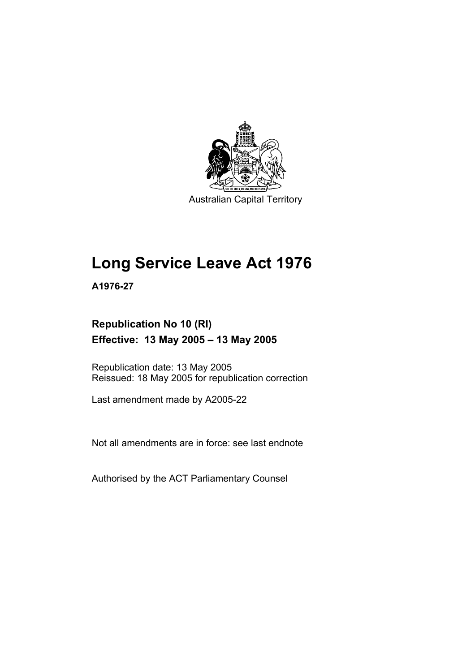

Australian Capital Territory

# **Long Service Leave Act 1976**

**A1976-27** 

# **Republication No 10 (RI) Effective: 13 May 2005 – 13 May 2005**

Republication date: 13 May 2005 Reissued: 18 May 2005 for republication correction

Last amendment made by A2005-22

Not all amendments are in force: see last endnote

Authorised by the ACT Parliamentary Counsel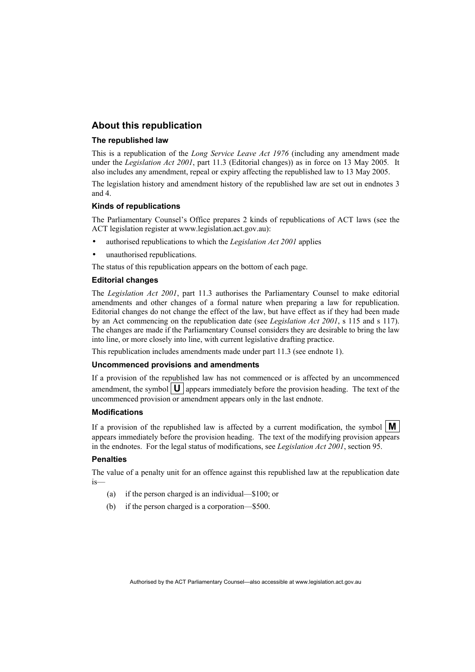## **About this republication**

#### **The republished law**

This is a republication of the *Long Service Leave Act 1976* (including any amendment made under the *Legislation Act 2001*, part 11.3 (Editorial changes)) as in force on 13 May 2005*.* It also includes any amendment, repeal or expiry affecting the republished law to 13 May 2005.

The legislation history and amendment history of the republished law are set out in endnotes 3 and 4.

#### **Kinds of republications**

The Parliamentary Counsel's Office prepares 2 kinds of republications of ACT laws (see the ACT legislation register at www.legislation.act.gov.au):

- authorised republications to which the *Legislation Act 2001* applies
- unauthorised republications.

The status of this republication appears on the bottom of each page.

#### **Editorial changes**

The *Legislation Act 2001*, part 11.3 authorises the Parliamentary Counsel to make editorial amendments and other changes of a formal nature when preparing a law for republication. Editorial changes do not change the effect of the law, but have effect as if they had been made by an Act commencing on the republication date (see *Legislation Act 2001*, s 115 and s 117). The changes are made if the Parliamentary Counsel considers they are desirable to bring the law into line, or more closely into line, with current legislative drafting practice.

This republication includes amendments made under part 11.3 (see endnote 1).

#### **Uncommenced provisions and amendments**

If a provision of the republished law has not commenced or is affected by an uncommenced amendment, the symbol  $\mathbf{U}$  appears immediately before the provision heading. The text of the uncommenced provision or amendment appears only in the last endnote.

#### **Modifications**

If a provision of the republished law is affected by a current modification, the symbol  $\mathbf{M}$ appears immediately before the provision heading. The text of the modifying provision appears in the endnotes. For the legal status of modifications, see *Legislation Act 2001*, section 95.

#### **Penalties**

The value of a penalty unit for an offence against this republished law at the republication date is—

- (a) if the person charged is an individual—\$100; or
- (b) if the person charged is a corporation—\$500.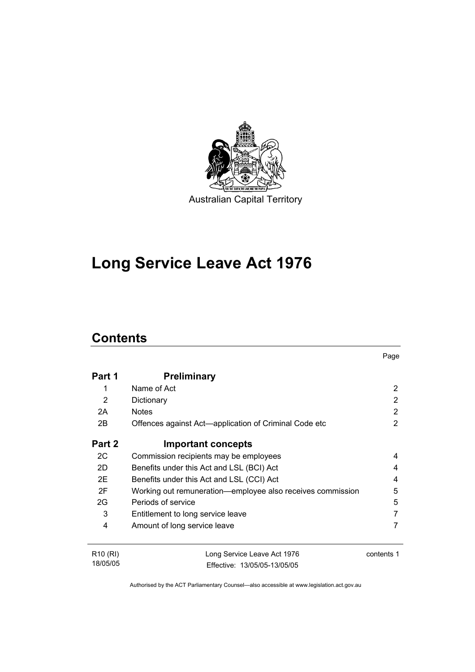

# **Long Service Leave Act 1976**

# **Contents**

18/05/05

| Part 1               | <b>Preliminary</b>                                         |            |
|----------------------|------------------------------------------------------------|------------|
|                      | Name of Act                                                | 2          |
| 2                    | Dictionary                                                 | 2          |
| 2A                   | <b>Notes</b>                                               | 2          |
| 2B                   | Offences against Act—application of Criminal Code etc      | 2          |
| Part 2               | <b>Important concepts</b>                                  |            |
| 2C                   | Commission recipients may be employees                     | 4          |
| 2D                   | Benefits under this Act and LSL (BCI) Act                  | 4          |
| 2E                   | Benefits under this Act and LSL (CCI) Act                  | 4          |
| 2F                   | Working out remuneration-employee also receives commission | 5          |
| 2G                   | Periods of service                                         | 5          |
| 3                    | Entitlement to long service leave                          |            |
| 4                    | Amount of long service leave                               |            |
| R <sub>10</sub> (RI) | Long Service Leave Act 1976                                | contents 1 |

Page

Authorised by the ACT Parliamentary Counsel—also accessible at www.legislation.act.gov.au

Effective: 13/05/05-13/05/05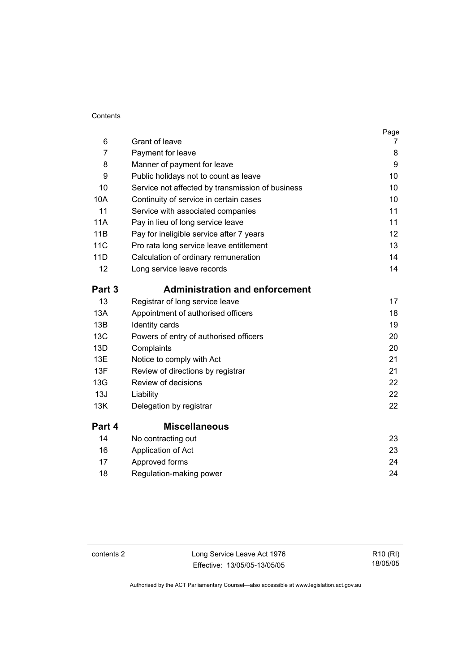#### **Contents**

| 6          | Grant of leave                                   | Page<br>7 |
|------------|--------------------------------------------------|-----------|
| 7          | Payment for leave                                | 8         |
| 8          | Manner of payment for leave                      | 9         |
| 9          | Public holidays not to count as leave            | 10        |
| 10         | Service not affected by transmission of business | 10        |
| 10A        | Continuity of service in certain cases           | 10        |
| 11         | Service with associated companies                | 11        |
| 11A        | Pay in lieu of long service leave                | 11        |
| 11B        | Pay for ineligible service after 7 years         | 12        |
| <b>11C</b> | Pro rata long service leave entitlement          | 13        |
| 11D        | Calculation of ordinary remuneration             | 14        |
| 12         | Long service leave records                       | 14        |
| Part 3     | <b>Administration and enforcement</b>            |           |
| 13         | Registrar of long service leave                  | 17        |
| 13A        | Appointment of authorised officers               | 18        |
| 13B        | Identity cards                                   | 19        |
| 13C        | Powers of entry of authorised officers           | 20        |
| 13D        | Complaints                                       | 20        |
| 13E        | Notice to comply with Act                        | 21        |
| 13F        | Review of directions by registrar                | 21        |
| 13G        | Review of decisions                              | 22        |
| 13J        | Liability                                        | 22        |
| 13K        | Delegation by registrar                          | 22        |
| Part 4     | <b>Miscellaneous</b>                             |           |
| 14         | No contracting out                               | 23        |
| 16         | Application of Act                               | 23        |
| 17         | Approved forms                                   | 24        |
| 18         | Regulation-making power                          | 24        |

contents 2 Long Service Leave Act 1976 Effective: 13/05/05-13/05/05

R10 (RI) 18/05/05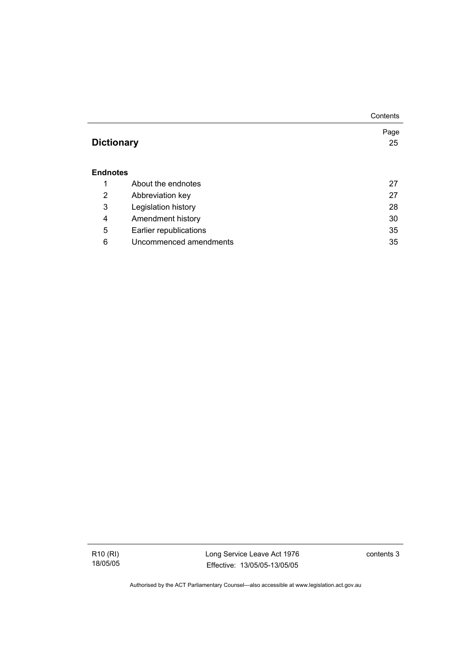|                   |                        | Contents |
|-------------------|------------------------|----------|
|                   |                        | Page     |
| <b>Dictionary</b> |                        | 25       |
|                   |                        |          |
| Endnotes          |                        |          |
| 1                 | About the endnotes     | 27       |
| 2                 | Abbreviation key       | 27       |
| 3                 | Legislation history    | 28       |
| 4                 | Amendment history      | 30       |
| 5                 | Earlier republications | 35       |
| 6                 | Uncommenced amendments | 35       |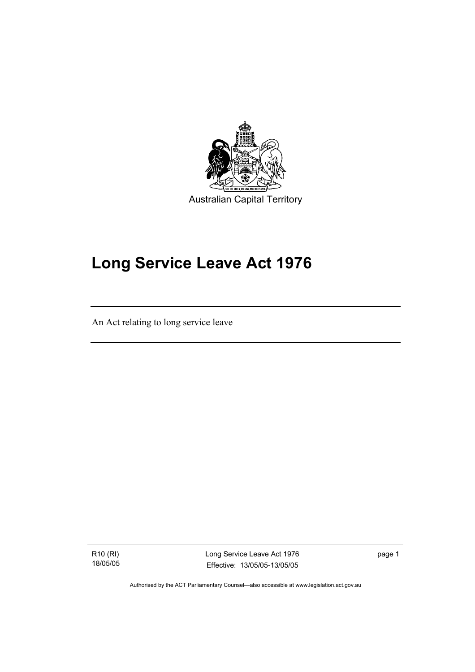

# **Long Service Leave Act 1976**

An Act relating to long service leave

R10 (RI) 18/05/05

I

Long Service Leave Act 1976 Effective: 13/05/05-13/05/05

page 1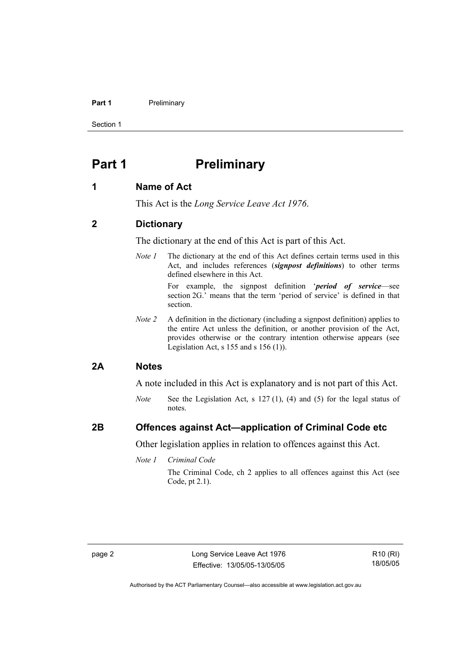#### **Part 1** Preliminary

Section 1

# **Part 1** Preliminary

## **1 Name of Act**

This Act is the *Long Service Leave Act 1976*.

## **2 Dictionary**

The dictionary at the end of this Act is part of this Act.

*Note 1* The dictionary at the end of this Act defines certain terms used in this Act, and includes references (*signpost definitions*) to other terms defined elsewhere in this Act.

> For example, the signpost definition '*period of service*—see section 2G.' means that the term 'period of service' is defined in that section.

*Note 2* A definition in the dictionary (including a signpost definition) applies to the entire Act unless the definition, or another provision of the Act, provides otherwise or the contrary intention otherwise appears (see Legislation Act, s  $155$  and s  $156$  (1)).

#### **2A Notes**

A note included in this Act is explanatory and is not part of this Act.

*Note* See the Legislation Act, s 127 (1), (4) and (5) for the legal status of notes.

## **2B Offences against Act—application of Criminal Code etc**

Other legislation applies in relation to offences against this Act.

*Note 1 Criminal Code*

The Criminal Code, ch 2 applies to all offences against this Act (see Code, pt 2.1).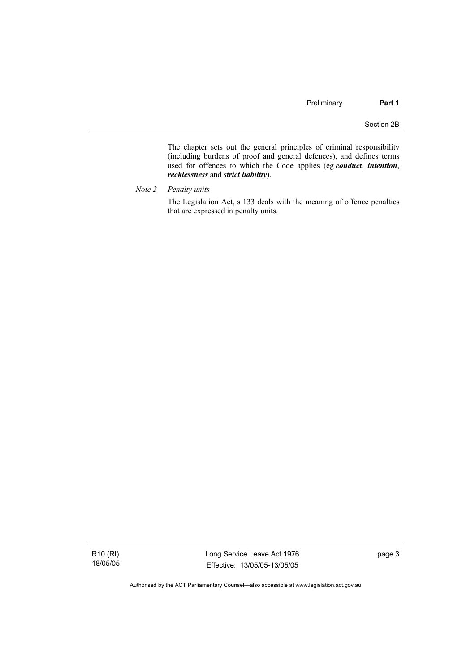The chapter sets out the general principles of criminal responsibility (including burdens of proof and general defences), and defines terms used for offences to which the Code applies (eg *conduct*, *intention*, *recklessness* and *strict liability*).

*Note 2 Penalty units* 

The Legislation Act, s 133 deals with the meaning of offence penalties that are expressed in penalty units.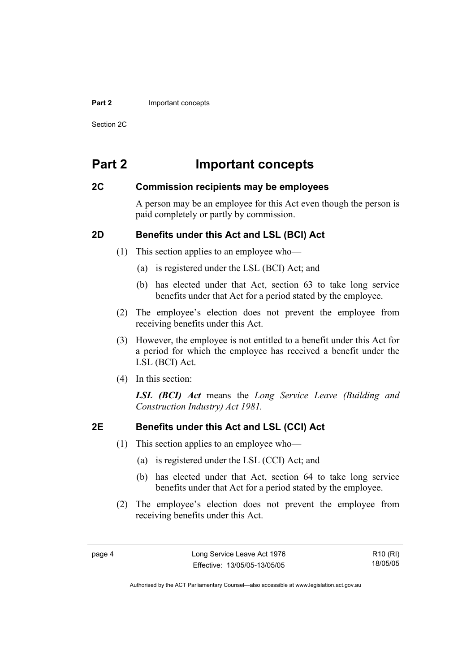#### **Part 2** Important concepts

Section 2C

# **Part 2 Important concepts**

## **2C Commission recipients may be employees**

A person may be an employee for this Act even though the person is paid completely or partly by commission.

## **2D Benefits under this Act and LSL (BCI) Act**

- (1) This section applies to an employee who—
	- (a) is registered under the LSL (BCI) Act; and
	- (b) has elected under that Act, section 63 to take long service benefits under that Act for a period stated by the employee.
- (2) The employee's election does not prevent the employee from receiving benefits under this Act.
- (3) However, the employee is not entitled to a benefit under this Act for a period for which the employee has received a benefit under the LSL (BCI) Act.
- (4) In this section:

*LSL (BCI) Act* means the *Long Service Leave (Building and Construction Industry) Act 1981.*

## **2E Benefits under this Act and LSL (CCI) Act**

- (1) This section applies to an employee who—
	- (a) is registered under the LSL (CCI) Act; and
	- (b) has elected under that Act, section 64 to take long service benefits under that Act for a period stated by the employee.
- (2) The employee's election does not prevent the employee from receiving benefits under this Act.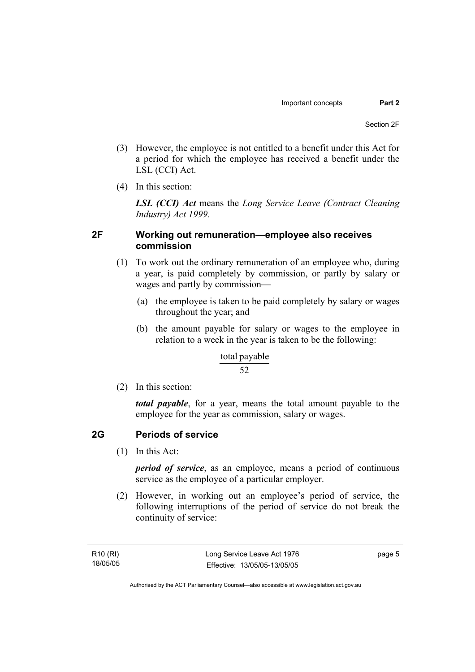- (3) However, the employee is not entitled to a benefit under this Act for a period for which the employee has received a benefit under the LSL (CCI) Act.
- (4) In this section:

*LSL (CCI) Act* means the *Long Service Leave (Contract Cleaning Industry) Act 1999.*

## **2F Working out remuneration—employee also receives commission**

- (1) To work out the ordinary remuneration of an employee who, during a year, is paid completely by commission, or partly by salary or wages and partly by commission—
	- (a) the employee is taken to be paid completely by salary or wages throughout the year; and
	- (b) the amount payable for salary or wages to the employee in relation to a week in the year is taken to be the following:

#### total payable

#### 52

(2) In this section:

*total payable*, for a year, means the total amount payable to the employee for the year as commission, salary or wages.

## **2G Periods of service**

(1) In this Act:

*period of service*, as an employee, means a period of continuous service as the employee of a particular employer.

 (2) However, in working out an employee's period of service, the following interruptions of the period of service do not break the continuity of service:

page 5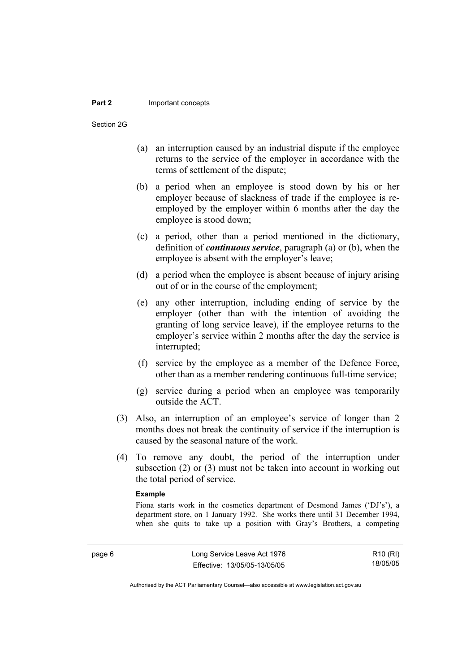#### **Part 2** Important concepts

Section 2G

- (a) an interruption caused by an industrial dispute if the employee returns to the service of the employer in accordance with the terms of settlement of the dispute;
- (b) a period when an employee is stood down by his or her employer because of slackness of trade if the employee is reemployed by the employer within 6 months after the day the employee is stood down;
- (c) a period, other than a period mentioned in the dictionary, definition of *continuous service*, paragraph (a) or (b), when the employee is absent with the employer's leave;
- (d) a period when the employee is absent because of injury arising out of or in the course of the employment;
- (e) any other interruption, including ending of service by the employer (other than with the intention of avoiding the granting of long service leave), if the employee returns to the employer's service within 2 months after the day the service is interrupted;
- (f) service by the employee as a member of the Defence Force, other than as a member rendering continuous full-time service;
- (g) service during a period when an employee was temporarily outside the ACT.
- (3) Also, an interruption of an employee's service of longer than 2 months does not break the continuity of service if the interruption is caused by the seasonal nature of the work.
- (4) To remove any doubt, the period of the interruption under subsection (2) or (3) must not be taken into account in working out the total period of service.

#### **Example**

Fiona starts work in the cosmetics department of Desmond James ('DJ's'), a department store, on 1 January 1992. She works there until 31 December 1994, when she quits to take up a position with Gray's Brothers, a competing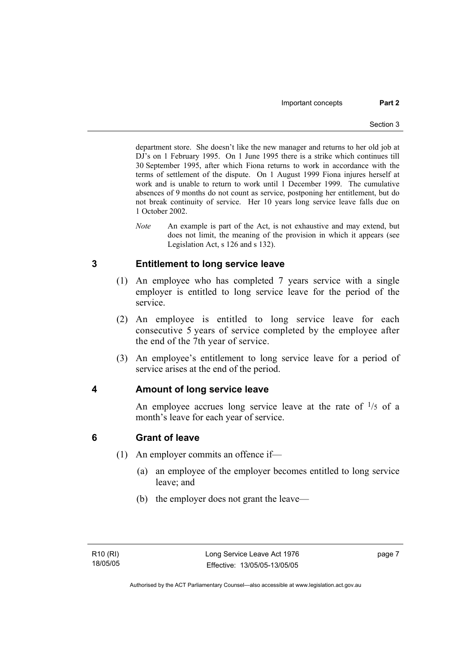department store. She doesn't like the new manager and returns to her old job at DJ's on 1 February 1995. On 1 June 1995 there is a strike which continues till 30 September 1995, after which Fiona returns to work in accordance with the terms of settlement of the dispute. On 1 August 1999 Fiona injures herself at work and is unable to return to work until 1 December 1999. The cumulative absences of 9 months do not count as service, postponing her entitlement, but do not break continuity of service. Her 10 years long service leave falls due on 1 October 2002.

*Note* An example is part of the Act, is not exhaustive and may extend, but does not limit, the meaning of the provision in which it appears (see Legislation Act, s 126 and s 132).

## **3 Entitlement to long service leave**

- (1) An employee who has completed 7 years service with a single employer is entitled to long service leave for the period of the service.
- (2) An employee is entitled to long service leave for each consecutive 5 years of service completed by the employee after the end of the 7th year of service.
- (3) An employee's entitlement to long service leave for a period of service arises at the end of the period.

## **4 Amount of long service leave**

An employee accrues long service leave at the rate of  $\frac{1}{5}$  of a month's leave for each year of service.

## **6 Grant of leave**

- (1) An employer commits an offence if—
	- (a) an employee of the employer becomes entitled to long service leave; and
	- (b) the employer does not grant the leave—

page 7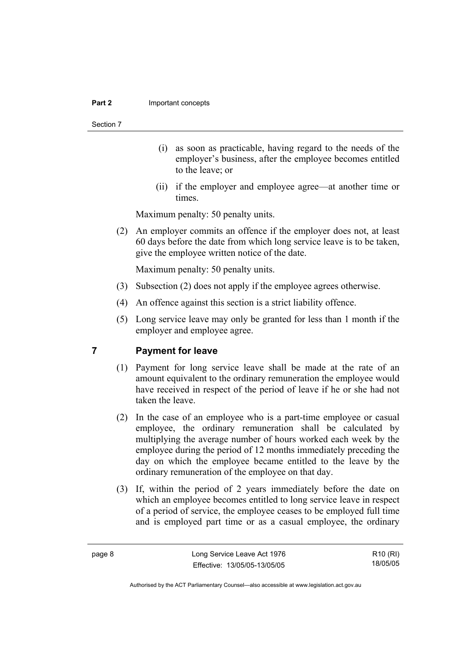#### **Part 2** Important concepts

#### Section 7

- (i) as soon as practicable, having regard to the needs of the employer's business, after the employee becomes entitled to the leave; or
- (ii) if the employer and employee agree—at another time or times.

Maximum penalty: 50 penalty units.

 (2) An employer commits an offence if the employer does not, at least 60 days before the date from which long service leave is to be taken, give the employee written notice of the date.

Maximum penalty: 50 penalty units.

- (3) Subsection (2) does not apply if the employee agrees otherwise.
- (4) An offence against this section is a strict liability offence.
- (5) Long service leave may only be granted for less than 1 month if the employer and employee agree.

### **7 Payment for leave**

- (1) Payment for long service leave shall be made at the rate of an amount equivalent to the ordinary remuneration the employee would have received in respect of the period of leave if he or she had not taken the leave.
- (2) In the case of an employee who is a part-time employee or casual employee, the ordinary remuneration shall be calculated by multiplying the average number of hours worked each week by the employee during the period of 12 months immediately preceding the day on which the employee became entitled to the leave by the ordinary remuneration of the employee on that day.
- (3) If, within the period of 2 years immediately before the date on which an employee becomes entitled to long service leave in respect of a period of service, the employee ceases to be employed full time and is employed part time or as a casual employee, the ordinary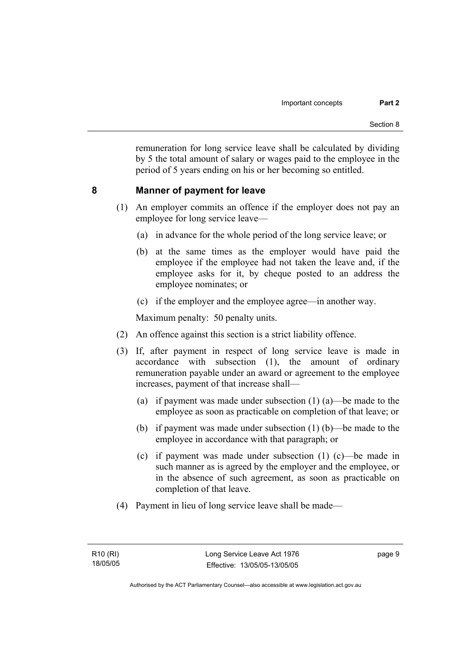remuneration for long service leave shall be calculated by dividing by 5 the total amount of salary or wages paid to the employee in the period of 5 years ending on his or her becoming so entitled.

## **8 Manner of payment for leave**

- (1) An employer commits an offence if the employer does not pay an employee for long service leave—
	- (a) in advance for the whole period of the long service leave; or
	- (b) at the same times as the employer would have paid the employee if the employee had not taken the leave and, if the employee asks for it, by cheque posted to an address the employee nominates; or
	- (c) if the employer and the employee agree—in another way.

Maximum penalty: 50 penalty units.

- (2) An offence against this section is a strict liability offence.
- (3) If, after payment in respect of long service leave is made in accordance with subsection (1), the amount of ordinary remuneration payable under an award or agreement to the employee increases, payment of that increase shall—
	- (a) if payment was made under subsection (1) (a)—be made to the employee as soon as practicable on completion of that leave; or
	- (b) if payment was made under subsection (1) (b)—be made to the employee in accordance with that paragraph; or
	- (c) if payment was made under subsection (1) (c)—be made in such manner as is agreed by the employer and the employee, or in the absence of such agreement, as soon as practicable on completion of that leave.
- (4) Payment in lieu of long service leave shall be made—

page 9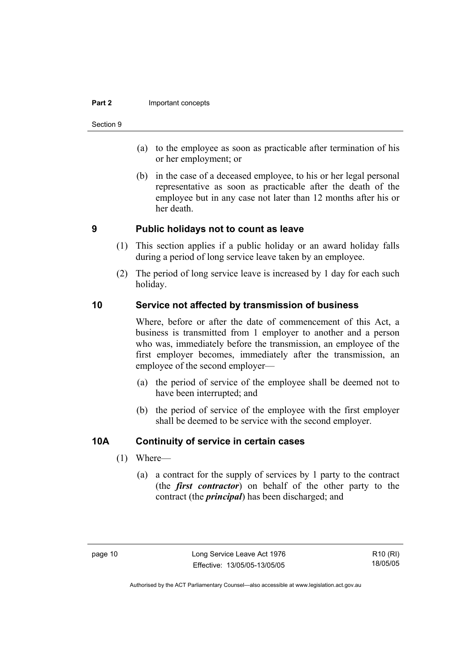#### **Part 2 Important concepts**

#### Section 9

- (a) to the employee as soon as practicable after termination of his or her employment; or
- (b) in the case of a deceased employee, to his or her legal personal representative as soon as practicable after the death of the employee but in any case not later than 12 months after his or her death.

## **9 Public holidays not to count as leave**

- (1) This section applies if a public holiday or an award holiday falls during a period of long service leave taken by an employee.
- (2) The period of long service leave is increased by 1 day for each such holiday.

## **10 Service not affected by transmission of business**

Where, before or after the date of commencement of this Act, a business is transmitted from 1 employer to another and a person who was, immediately before the transmission, an employee of the first employer becomes, immediately after the transmission, an employee of the second employer—

- (a) the period of service of the employee shall be deemed not to have been interrupted; and
- (b) the period of service of the employee with the first employer shall be deemed to be service with the second employer.

## **10A Continuity of service in certain cases**

- (1) Where—
	- (a) a contract for the supply of services by 1 party to the contract (the *first contractor*) on behalf of the other party to the contract (the *principal*) has been discharged; and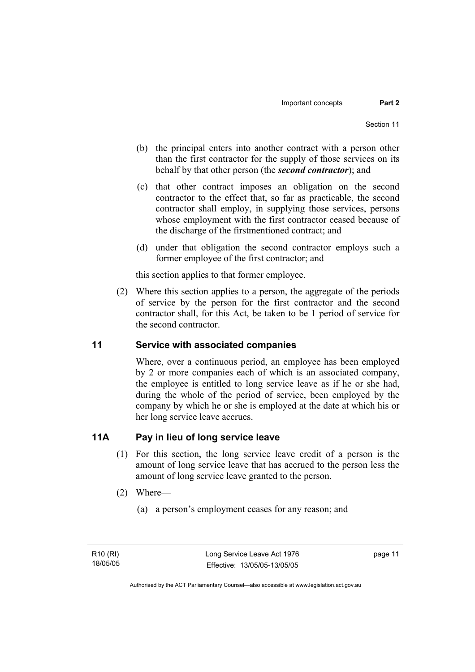- (b) the principal enters into another contract with a person other than the first contractor for the supply of those services on its behalf by that other person (the *second contractor*); and
- (c) that other contract imposes an obligation on the second contractor to the effect that, so far as practicable, the second contractor shall employ, in supplying those services, persons whose employment with the first contractor ceased because of the discharge of the firstmentioned contract; and
- (d) under that obligation the second contractor employs such a former employee of the first contractor; and

this section applies to that former employee.

 (2) Where this section applies to a person, the aggregate of the periods of service by the person for the first contractor and the second contractor shall, for this Act, be taken to be 1 period of service for the second contractor.

## **11 Service with associated companies**

Where, over a continuous period, an employee has been employed by 2 or more companies each of which is an associated company, the employee is entitled to long service leave as if he or she had, during the whole of the period of service, been employed by the company by which he or she is employed at the date at which his or her long service leave accrues.

## **11A Pay in lieu of long service leave**

- (1) For this section, the long service leave credit of a person is the amount of long service leave that has accrued to the person less the amount of long service leave granted to the person.
- (2) Where—
	- (a) a person's employment ceases for any reason; and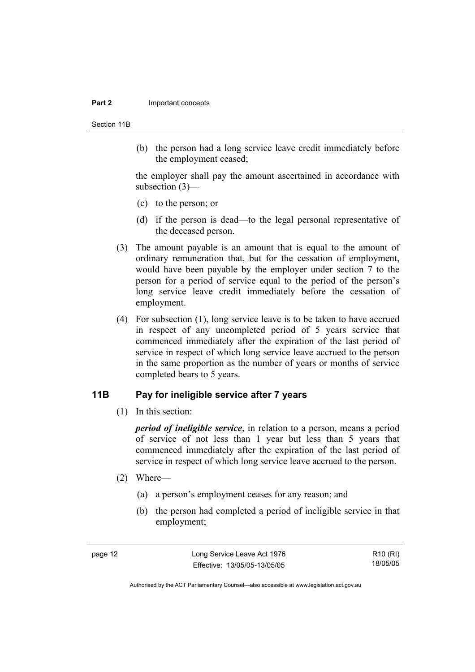#### **Part 2** Important concepts

Section 11B

 (b) the person had a long service leave credit immediately before the employment ceased;

the employer shall pay the amount ascertained in accordance with subsection (3)—

- (c) to the person; or
- (d) if the person is dead—to the legal personal representative of the deceased person.
- (3) The amount payable is an amount that is equal to the amount of ordinary remuneration that, but for the cessation of employment, would have been payable by the employer under section 7 to the person for a period of service equal to the period of the person's long service leave credit immediately before the cessation of employment.
- (4) For subsection (1), long service leave is to be taken to have accrued in respect of any uncompleted period of 5 years service that commenced immediately after the expiration of the last period of service in respect of which long service leave accrued to the person in the same proportion as the number of years or months of service completed bears to 5 years.

### **11B Pay for ineligible service after 7 years**

(1) In this section:

*period of ineligible service*, in relation to a person, means a period of service of not less than 1 year but less than 5 years that commenced immediately after the expiration of the last period of service in respect of which long service leave accrued to the person.

- (2) Where—
	- (a) a person's employment ceases for any reason; and
	- (b) the person had completed a period of ineligible service in that employment;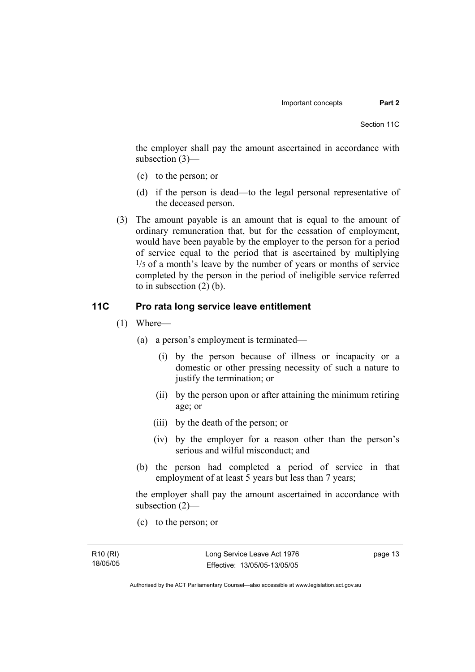the employer shall pay the amount ascertained in accordance with subsection (3)—

- (c) to the person; or
- (d) if the person is dead—to the legal personal representative of the deceased person.
- (3) The amount payable is an amount that is equal to the amount of ordinary remuneration that, but for the cessation of employment, would have been payable by the employer to the person for a period of service equal to the period that is ascertained by multiplying  $\frac{1}{5}$  of a month's leave by the number of years or months of service completed by the person in the period of ineligible service referred to in subsection (2) (b).

## **11C Pro rata long service leave entitlement**

- (1) Where—
	- (a) a person's employment is terminated—
		- (i) by the person because of illness or incapacity or a domestic or other pressing necessity of such a nature to justify the termination; or
		- (ii) by the person upon or after attaining the minimum retiring age; or
		- (iii) by the death of the person; or
		- (iv) by the employer for a reason other than the person's serious and wilful misconduct; and
	- (b) the person had completed a period of service in that employment of at least 5 years but less than 7 years;

the employer shall pay the amount ascertained in accordance with subsection (2)—

(c) to the person; or

page 13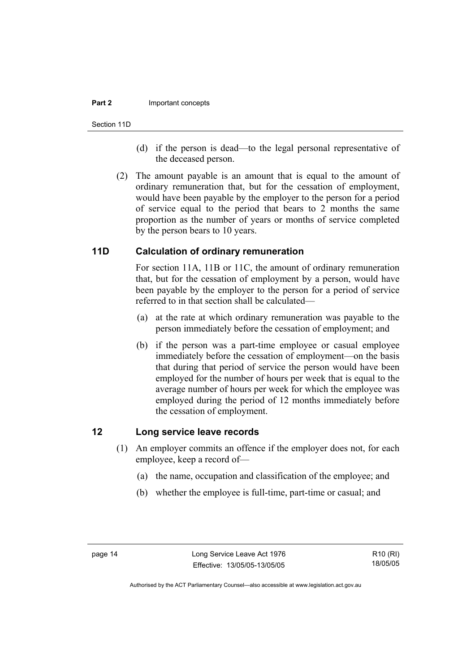#### **Part 2** Important concepts

Section 11D

- (d) if the person is dead—to the legal personal representative of the deceased person.
- (2) The amount payable is an amount that is equal to the amount of ordinary remuneration that, but for the cessation of employment, would have been payable by the employer to the person for a period of service equal to the period that bears to 2 months the same proportion as the number of years or months of service completed by the person bears to 10 years.

## **11D Calculation of ordinary remuneration**

For section 11A, 11B or 11C, the amount of ordinary remuneration that, but for the cessation of employment by a person, would have been payable by the employer to the person for a period of service referred to in that section shall be calculated—

- (a) at the rate at which ordinary remuneration was payable to the person immediately before the cessation of employment; and
- (b) if the person was a part-time employee or casual employee immediately before the cessation of employment—on the basis that during that period of service the person would have been employed for the number of hours per week that is equal to the average number of hours per week for which the employee was employed during the period of 12 months immediately before the cessation of employment.

#### **12 Long service leave records**

- (1) An employer commits an offence if the employer does not, for each employee, keep a record of—
	- (a) the name, occupation and classification of the employee; and
	- (b) whether the employee is full-time, part-time or casual; and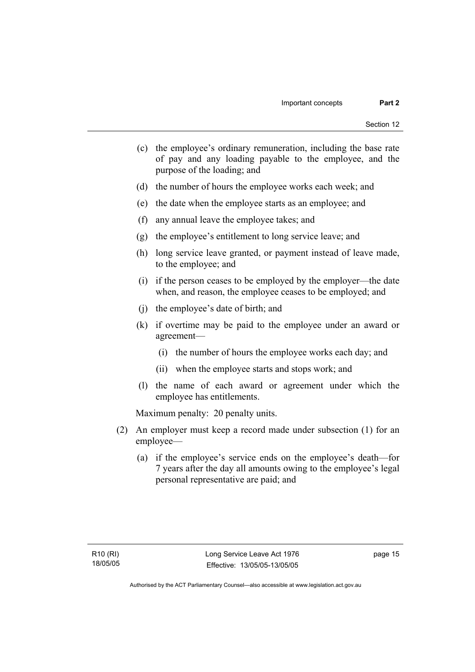- (c) the employee's ordinary remuneration, including the base rate of pay and any loading payable to the employee, and the purpose of the loading; and
- (d) the number of hours the employee works each week; and
- (e) the date when the employee starts as an employee; and
- (f) any annual leave the employee takes; and
- (g) the employee's entitlement to long service leave; and
- (h) long service leave granted, or payment instead of leave made, to the employee; and
- (i) if the person ceases to be employed by the employer—the date when, and reason, the employee ceases to be employed; and
- (j) the employee's date of birth; and
- (k) if overtime may be paid to the employee under an award or agreement—
	- (i) the number of hours the employee works each day; and
	- (ii) when the employee starts and stops work; and
- (l) the name of each award or agreement under which the employee has entitlements.

Maximum penalty: 20 penalty units.

- (2) An employer must keep a record made under subsection (1) for an employee—
	- (a) if the employee's service ends on the employee's death—for 7 years after the day all amounts owing to the employee's legal personal representative are paid; and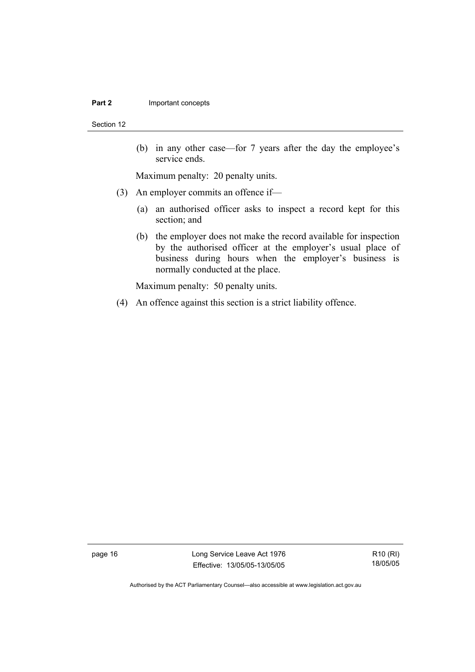#### **Part 2 Important concepts**

Section 12

 (b) in any other case—for 7 years after the day the employee's service ends.

Maximum penalty: 20 penalty units.

- (3) An employer commits an offence if—
	- (a) an authorised officer asks to inspect a record kept for this section; and
	- (b) the employer does not make the record available for inspection by the authorised officer at the employer's usual place of business during hours when the employer's business is normally conducted at the place.

Maximum penalty: 50 penalty units.

(4) An offence against this section is a strict liability offence.

page 16 Long Service Leave Act 1976 Effective: 13/05/05-13/05/05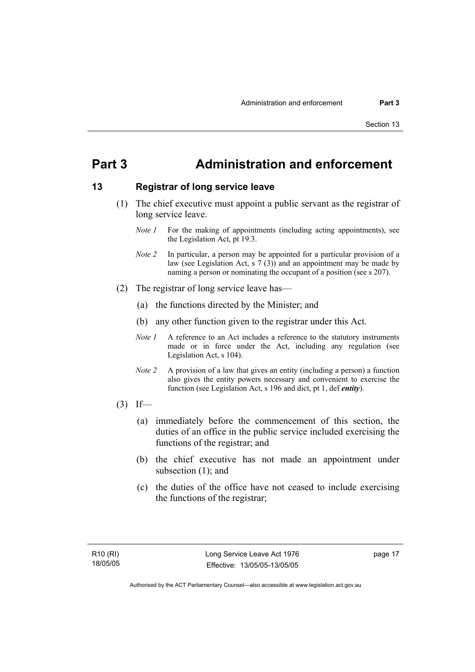# **Part 3 Administration and enforcement**

## **13 Registrar of long service leave**

- (1) The chief executive must appoint a public servant as the registrar of long service leave.
	- *Note 1* For the making of appointments (including acting appointments), see the Legislation Act, pt 19.3.
	- *Note 2* In particular, a person may be appointed for a particular provision of a law (see Legislation Act, s  $7(3)$ ) and an appointment may be made by naming a person or nominating the occupant of a position (see s 207).
- (2) The registrar of long service leave has—
	- (a) the functions directed by the Minister; and
	- (b) any other function given to the registrar under this Act.
	- *Note 1* A reference to an Act includes a reference to the statutory instruments made or in force under the Act, including any regulation (see Legislation Act, s 104).
	- *Note 2* A provision of a law that gives an entity (including a person) a function also gives the entity powers necessary and convenient to exercise the function (see Legislation Act, s 196 and dict, pt 1, def *entity*).
- $(3)$  If—
	- (a) immediately before the commencement of this section, the duties of an office in the public service included exercising the functions of the registrar; and
	- (b) the chief executive has not made an appointment under subsection (1); and
	- (c) the duties of the office have not ceased to include exercising the functions of the registrar;

page 17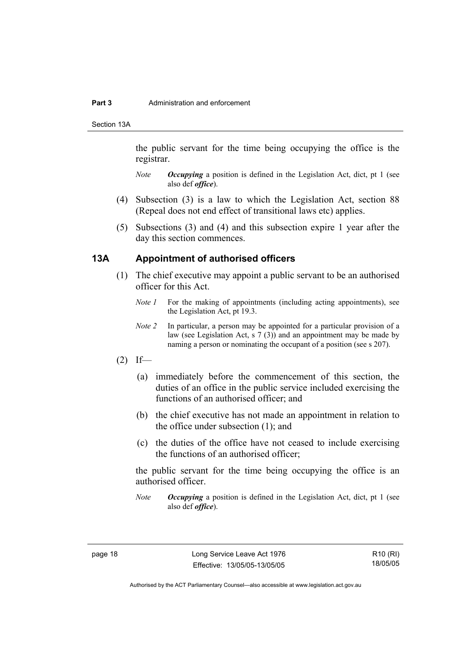#### **Part 3** Administration and enforcement

Section 13A

the public servant for the time being occupying the office is the registrar.

- *Note Occupying* a position is defined in the Legislation Act, dict, pt 1 (see also def *office*).
- (4) Subsection (3) is a law to which the Legislation Act, section 88 (Repeal does not end effect of transitional laws etc) applies.
- (5) Subsections (3) and (4) and this subsection expire 1 year after the day this section commences.

## **13A Appointment of authorised officers**

- (1) The chief executive may appoint a public servant to be an authorised officer for this Act.
	- *Note 1* For the making of appointments (including acting appointments), see the Legislation Act, pt 19.3.
	- *Note 2* In particular, a person may be appointed for a particular provision of a law (see Legislation Act, s 7 (3)) and an appointment may be made by naming a person or nominating the occupant of a position (see s 207).
- $(2)$  If—
	- (a) immediately before the commencement of this section, the duties of an office in the public service included exercising the functions of an authorised officer; and
	- (b) the chief executive has not made an appointment in relation to the office under subsection (1); and
	- (c) the duties of the office have not ceased to include exercising the functions of an authorised officer;

the public servant for the time being occupying the office is an authorised officer.

*Note Occupying* a position is defined in the Legislation Act, dict, pt 1 (see also def *office*).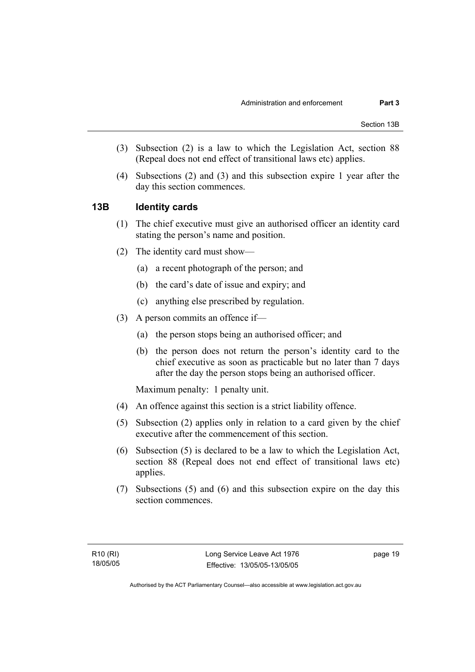- (3) Subsection (2) is a law to which the Legislation Act, section 88 (Repeal does not end effect of transitional laws etc) applies.
- (4) Subsections (2) and (3) and this subsection expire 1 year after the day this section commences.

## **13B Identity cards**

- (1) The chief executive must give an authorised officer an identity card stating the person's name and position.
- (2) The identity card must show—
	- (a) a recent photograph of the person; and
	- (b) the card's date of issue and expiry; and
	- (c) anything else prescribed by regulation.
- (3) A person commits an offence if—
	- (a) the person stops being an authorised officer; and
	- (b) the person does not return the person's identity card to the chief executive as soon as practicable but no later than 7 days after the day the person stops being an authorised officer.

Maximum penalty: 1 penalty unit.

- (4) An offence against this section is a strict liability offence.
- (5) Subsection (2) applies only in relation to a card given by the chief executive after the commencement of this section.
- (6) Subsection (5) is declared to be a law to which the Legislation Act, section 88 (Repeal does not end effect of transitional laws etc) applies.
- (7) Subsections (5) and (6) and this subsection expire on the day this section commences.

page 19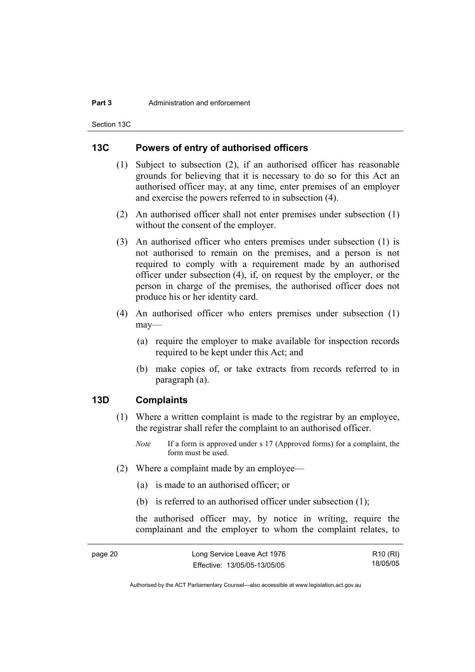#### **Part 3** Administration and enforcement

Section 13C

## **13C Powers of entry of authorised officers**

- (1) Subject to subsection (2), if an authorised officer has reasonable grounds for believing that it is necessary to do so for this Act an authorised officer may, at any time, enter premises of an employer and exercise the powers referred to in subsection (4).
- (2) An authorised officer shall not enter premises under subsection (1) without the consent of the employer.
- (3) An authorised officer who enters premises under subsection (1) is not authorised to remain on the premises, and a person is not required to comply with a requirement made by an authorised officer under subsection (4), if, on request by the employer, or the person in charge of the premises, the authorised officer does not produce his or her identity card.
- (4) An authorised officer who enters premises under subsection (1) may—
	- (a) require the employer to make available for inspection records required to be kept under this Act; and
	- (b) make copies of, or take extracts from records referred to in paragraph (a).

## **13D Complaints**

- (1) Where a written complaint is made to the registrar by an employee, the registrar shall refer the complaint to an authorised officer.
	- *Note* If a form is approved under s 17 (Approved forms) for a complaint, the form must be used.
- (2) Where a complaint made by an employee—
	- (a) is made to an authorised officer; or
	- (b) is referred to an authorised officer under subsection (1);

the authorised officer may, by notice in writing, require the complainant and the employer to whom the complaint relates, to

| page 20 | Long Service Leave Act 1976  | R10 (RI) |
|---------|------------------------------|----------|
|         | Effective: 13/05/05-13/05/05 | 18/05/05 |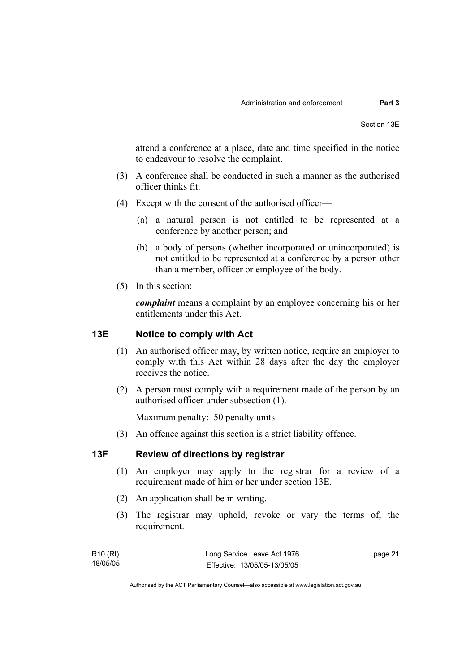attend a conference at a place, date and time specified in the notice to endeavour to resolve the complaint.

- (3) A conference shall be conducted in such a manner as the authorised officer thinks fit.
- (4) Except with the consent of the authorised officer—
	- (a) a natural person is not entitled to be represented at a conference by another person; and
	- (b) a body of persons (whether incorporated or unincorporated) is not entitled to be represented at a conference by a person other than a member, officer or employee of the body.
- (5) In this section:

*complaint* means a complaint by an employee concerning his or her entitlements under this Act.

#### **13E Notice to comply with Act**

- (1) An authorised officer may, by written notice, require an employer to comply with this Act within 28 days after the day the employer receives the notice.
- (2) A person must comply with a requirement made of the person by an authorised officer under subsection (1).

Maximum penalty: 50 penalty units.

(3) An offence against this section is a strict liability offence.

## **13F Review of directions by registrar**

- (1) An employer may apply to the registrar for a review of a requirement made of him or her under section 13E.
- (2) An application shall be in writing.
- (3) The registrar may uphold, revoke or vary the terms of, the requirement.

R10 (RI) 18/05/05 page 21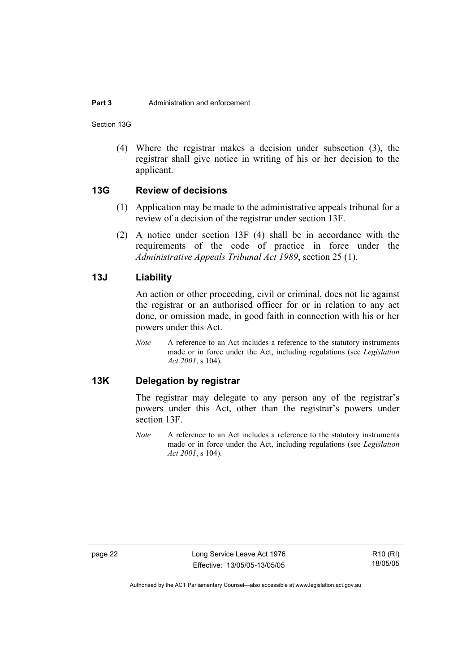#### **Part 3** Administration and enforcement

Section 13G

 (4) Where the registrar makes a decision under subsection (3), the registrar shall give notice in writing of his or her decision to the applicant.

#### **13G Review of decisions**

- (1) Application may be made to the administrative appeals tribunal for a review of a decision of the registrar under section 13F.
- (2) A notice under section 13F (4) shall be in accordance with the requirements of the code of practice in force under the *Administrative Appeals Tribunal Act 1989*, section 25 (1).

## **13J Liability**

An action or other proceeding, civil or criminal, does not lie against the registrar or an authorised officer for or in relation to any act done, or omission made, in good faith in connection with his or her powers under this Act.

*Note* A reference to an Act includes a reference to the statutory instruments made or in force under the Act, including regulations (see *Legislation Act 2001*, s 104).

## **13K Delegation by registrar**

The registrar may delegate to any person any of the registrar's powers under this Act, other than the registrar's powers under section 13F.

*Note* A reference to an Act includes a reference to the statutory instruments made or in force under the Act, including regulations (see *Legislation Act 2001*, s 104).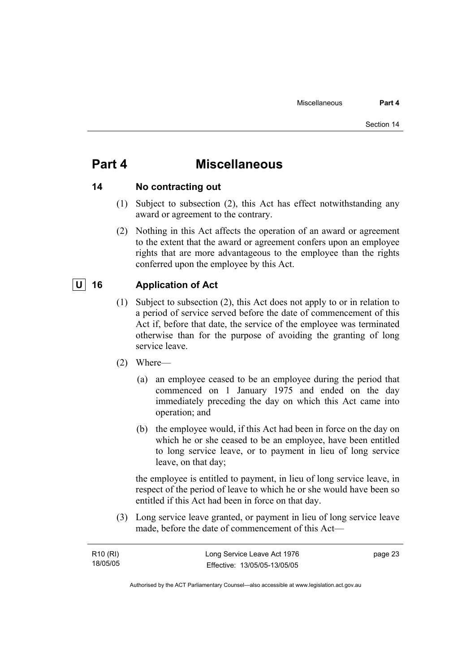# **Part 4 Miscellaneous**

## **14 No contracting out**

- (1) Subject to subsection (2), this Act has effect notwithstanding any award or agreement to the contrary.
- (2) Nothing in this Act affects the operation of an award or agreement to the extent that the award or agreement confers upon an employee rights that are more advantageous to the employee than the rights conferred upon the employee by this Act.

## **U 16 Application of Act**

- (1) Subject to subsection (2), this Act does not apply to or in relation to a period of service served before the date of commencement of this Act if, before that date, the service of the employee was terminated otherwise than for the purpose of avoiding the granting of long service leave.
- (2) Where—
	- (a) an employee ceased to be an employee during the period that commenced on 1 January 1975 and ended on the day immediately preceding the day on which this Act came into operation; and
	- (b) the employee would, if this Act had been in force on the day on which he or she ceased to be an employee, have been entitled to long service leave, or to payment in lieu of long service leave, on that day;

the employee is entitled to payment, in lieu of long service leave, in respect of the period of leave to which he or she would have been so entitled if this Act had been in force on that day.

 (3) Long service leave granted, or payment in lieu of long service leave made, before the date of commencement of this Act—

| R <sub>10</sub> (RI) | Long Service Leave Act 1976  | page 23 |
|----------------------|------------------------------|---------|
| 18/05/05             | Effective: 13/05/05-13/05/05 |         |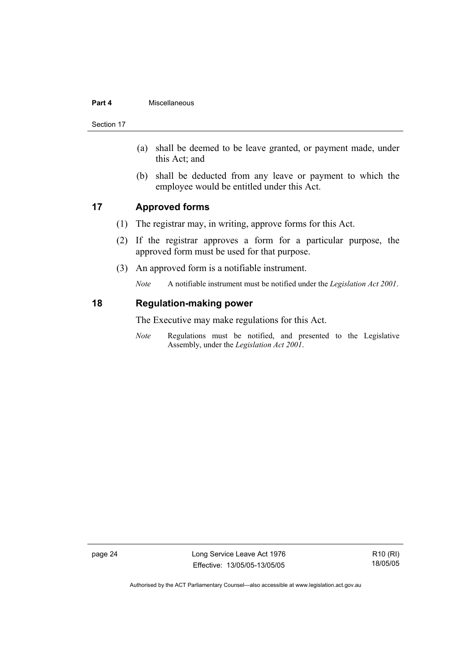#### **Part 4** Miscellaneous

Section 17

- (a) shall be deemed to be leave granted, or payment made, under this Act; and
- (b) shall be deducted from any leave or payment to which the employee would be entitled under this Act.

## **17 Approved forms**

- (1) The registrar may, in writing, approve forms for this Act.
- (2) If the registrar approves a form for a particular purpose, the approved form must be used for that purpose.
- (3) An approved form is a notifiable instrument.

*Note* A notifiable instrument must be notified under the *Legislation Act 2001*.

#### **18 Regulation-making power**

The Executive may make regulations for this Act.

*Note* Regulations must be notified, and presented to the Legislative Assembly, under the *Legislation Act 2001*.

page 24 Long Service Leave Act 1976 Effective: 13/05/05-13/05/05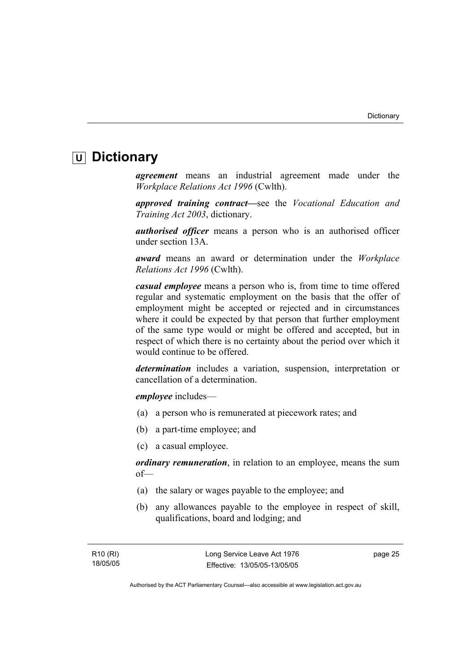# **U Dictionary**

*agreement* means an industrial agreement made under the *Workplace Relations Act 1996* (Cwlth).

*approved training contract—*see the *Vocational Education and Training Act 2003*, dictionary.

*authorised officer* means a person who is an authorised officer under section 13A.

*award* means an award or determination under the *Workplace Relations Act 1996* (Cwlth).

*casual employee* means a person who is, from time to time offered regular and systematic employment on the basis that the offer of employment might be accepted or rejected and in circumstances where it could be expected by that person that further employment of the same type would or might be offered and accepted, but in respect of which there is no certainty about the period over which it would continue to be offered.

*determination* includes a variation, suspension, interpretation or cancellation of a determination.

*employee* includes—

- (a) a person who is remunerated at piecework rates; and
- (b) a part-time employee; and
- (c) a casual employee.

*ordinary remuneration*, in relation to an employee, means the sum of—

- (a) the salary or wages payable to the employee; and
- (b) any allowances payable to the employee in respect of skill, qualifications, board and lodging; and

page 25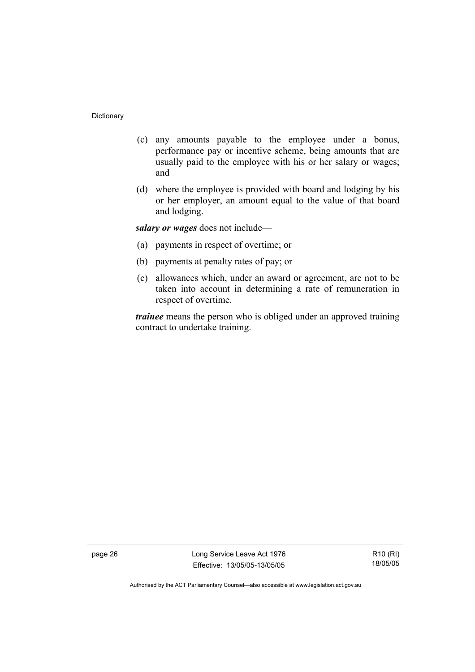- (c) any amounts payable to the employee under a bonus, performance pay or incentive scheme, being amounts that are usually paid to the employee with his or her salary or wages; and
- (d) where the employee is provided with board and lodging by his or her employer, an amount equal to the value of that board and lodging.

*salary or wages* does not include—

- (a) payments in respect of overtime; or
- (b) payments at penalty rates of pay; or
- (c) allowances which, under an award or agreement, are not to be taken into account in determining a rate of remuneration in respect of overtime.

*trainee* means the person who is obliged under an approved training contract to undertake training.

page 26 Long Service Leave Act 1976 Effective: 13/05/05-13/05/05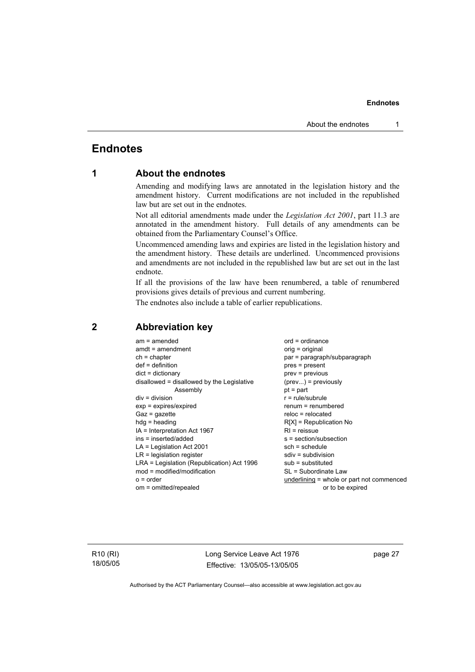## **Endnotes**

## **1 About the endnotes**

Amending and modifying laws are annotated in the legislation history and the amendment history. Current modifications are not included in the republished law but are set out in the endnotes.

Not all editorial amendments made under the *Legislation Act 2001*, part 11.3 are annotated in the amendment history. Full details of any amendments can be obtained from the Parliamentary Counsel's Office.

Uncommenced amending laws and expiries are listed in the legislation history and the amendment history. These details are underlined. Uncommenced provisions and amendments are not included in the republished law but are set out in the last endnote.

If all the provisions of the law have been renumbered, a table of renumbered provisions gives details of previous and current numbering.

The endnotes also include a table of earlier republications.

| $am = amended$                             | $ord = ordinance$                         |
|--------------------------------------------|-------------------------------------------|
| $amdt = amendment$                         | orig = original                           |
| $ch = chapter$                             | par = paragraph/subparagraph              |
| $def = definition$                         | $pres = present$                          |
| $dict = dictionary$                        | $prev = previous$                         |
| disallowed = disallowed by the Legislative | $(\text{prev}) = \text{previously}$       |
| Assembly                                   | $pt = part$                               |
| $div = division$                           | $r = rule/subrule$                        |
| $exp = expires/expired$                    | $renum = renumbered$                      |
| $Gaz = qazette$                            | $reloc = relocated$                       |
| $hda =$ heading                            | $R[X]$ = Republication No                 |
| $IA = Interpretation Act 1967$             | $RI =$ reissue                            |
| $ins = inserted/added$                     | $s = section/subsection$                  |
| $LA =$ Legislation Act 2001                | $sch = schedule$                          |
| $LR =$ legislation register                | $sdiv = subdivision$                      |
| LRA = Legislation (Republication) Act 1996 | $sub =$ substituted                       |
| mod = modified/modification                | SL = Subordinate Law                      |
| $o = order$                                | underlining = whole or part not commenced |
| om = omitted/repealed                      | or to be expired                          |
|                                            |                                           |

## **2 Abbreviation key**

R10 (RI) 18/05/05 Long Service Leave Act 1976 Effective: 13/05/05-13/05/05 page 27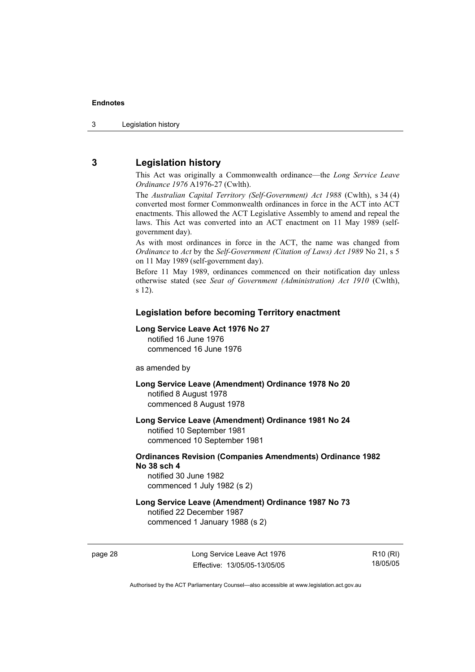## **3 Legislation history**

This Act was originally a Commonwealth ordinance—the *Long Service Leave Ordinance 1976* A1976-27 (Cwlth).

The *Australian Capital Territory (Self-Government) Act 1988* (Cwlth), s 34 (4) converted most former Commonwealth ordinances in force in the ACT into ACT enactments. This allowed the ACT Legislative Assembly to amend and repeal the laws. This Act was converted into an ACT enactment on 11 May 1989 (selfgovernment day).

As with most ordinances in force in the ACT, the name was changed from *Ordinance* to *Act* by the *Self-Government (Citation of Laws) Act 1989* No 21, s 5 on 11 May 1989 (self-government day).

Before 11 May 1989, ordinances commenced on their notification day unless otherwise stated (see *Seat of Government (Administration) Act 1910* (Cwlth), s 12).

#### **Legislation before becoming Territory enactment**

#### **Long Service Leave Act 1976 No 27**

notified 16 June 1976 commenced 16 June 1976

as amended by

**Long Service Leave (Amendment) Ordinance 1978 No 20**  notified 8 August 1978 commenced 8 August 1978

**Long Service Leave (Amendment) Ordinance 1981 No 24**  notified 10 September 1981

commenced 10 September 1981

## **Ordinances Revision (Companies Amendments) Ordinance 1982 No 38 sch 4**

notified 30 June 1982 commenced 1 July 1982 (s 2)

## **Long Service Leave (Amendment) Ordinance 1987 No 73**

notified 22 December 1987 commenced 1 January 1988 (s 2)

R10 (RI) 18/05/05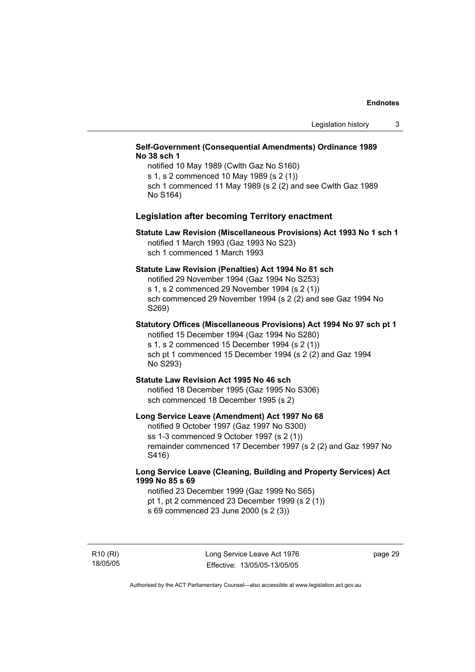#### **Self-Government (Consequential Amendments) Ordinance 1989 No 38 sch 1**

notified 10 May 1989 (Cwlth Gaz No S160) s 1, s 2 commenced 10 May 1989 (s 2 (1)) sch 1 commenced 11 May 1989 (s 2 (2) and see Cwlth Gaz 1989 No S164)

#### **Legislation after becoming Territory enactment**

#### **Statute Law Revision (Miscellaneous Provisions) Act 1993 No 1 sch 1**  notified 1 March 1993 (Gaz 1993 No S23) sch 1 commenced 1 March 1993

#### **Statute Law Revision (Penalties) Act 1994 No 81 sch**

notified 29 November 1994 (Gaz 1994 No S253) s 1, s 2 commenced 29 November 1994 (s 2 (1)) sch commenced 29 November 1994 (s 2 (2) and see Gaz 1994 No S269)

## **Statutory Offices (Miscellaneous Provisions) Act 1994 No 97 sch pt 1**

notified 15 December 1994 (Gaz 1994 No S280) s 1, s 2 commenced 15 December 1994 (s 2 (1)) sch pt 1 commenced 15 December 1994 (s 2 (2) and Gaz 1994 No S293)

#### **Statute Law Revision Act 1995 No 46 sch**

notified 18 December 1995 (Gaz 1995 No S306) sch commenced 18 December 1995 (s 2)

#### **Long Service Leave (Amendment) Act 1997 No 68**

notified 9 October 1997 (Gaz 1997 No S300) ss 1-3 commenced 9 October 1997 (s 2 (1)) remainder commenced 17 December 1997 (s 2 (2) and Gaz 1997 No S416)

#### **Long Service Leave (Cleaning, Building and Property Services) Act 1999 No 85 s 69**

notified 23 December 1999 (Gaz 1999 No S65) pt 1, pt 2 commenced 23 December 1999 (s 2 (1)) s 69 commenced 23 June 2000 (s 2 (3))

R10 (RI) 18/05/05 page 29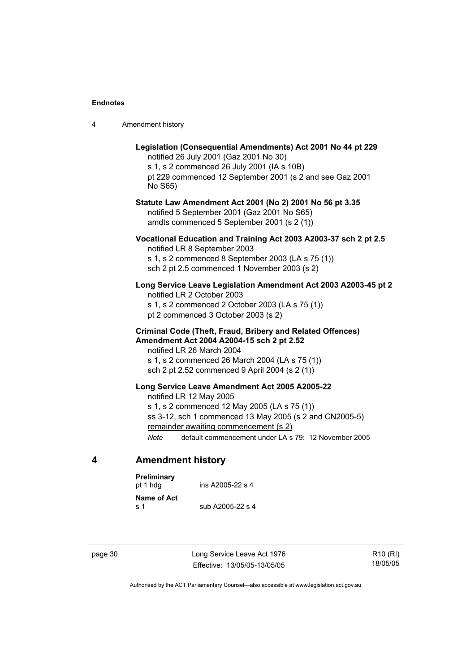|  | Amendment history |
|--|-------------------|
|--|-------------------|

| Legislation (Consequential Amendments) Act 2001 No 44 pt 229<br>notified 26 July 2001 (Gaz 2001 No 30)<br>s 1, s 2 commenced 26 July 2001 (IA s 10B)<br>pt 229 commenced 12 September 2001 (s 2 and see Gaz 2001<br>No S65)                                                                          |
|------------------------------------------------------------------------------------------------------------------------------------------------------------------------------------------------------------------------------------------------------------------------------------------------------|
| Statute Law Amendment Act 2001 (No 2) 2001 No 56 pt 3.35<br>notified 5 September 2001 (Gaz 2001 No S65)<br>amdts commenced 5 September 2001 (s 2 (1))                                                                                                                                                |
| Vocational Education and Training Act 2003 A2003-37 sch 2 pt 2.5<br>notified LR 8 September 2003<br>s 1, s 2 commenced 8 September 2003 (LA s 75 (1))<br>sch 2 pt 2.5 commenced 1 November 2003 (s 2)                                                                                                |
| Long Service Leave Legislation Amendment Act 2003 A2003-45 pt 2<br>notified LR 2 October 2003<br>s 1, s 2 commenced 2 October 2003 (LA s 75 (1))<br>pt 2 commenced 3 October 2003 (s 2)                                                                                                              |
| Criminal Code (Theft, Fraud, Bribery and Related Offences)<br>Amendment Act 2004 A2004-15 sch 2 pt 2.52<br>notified LR 26 March 2004<br>s 1, s 2 commenced 26 March 2004 (LA s 75 (1))<br>sch 2 pt 2.52 commenced 9 April 2004 (s 2 (1))                                                             |
| Long Service Leave Amendment Act 2005 A2005-22<br>notified LR 12 May 2005<br>s 1, s 2 commenced 12 May 2005 (LA s 75 (1))<br>ss 3-12, sch 1 commenced 13 May 2005 (s 2 and CN2005-5)<br>remainder awaiting commencement (s 2)<br>default commencement under LA s 79: 12 November 2005<br><b>Note</b> |

# **4 Amendment history**

| Preliminary<br>pt 1 hda | ins A2005-22 s 4 |  |
|-------------------------|------------------|--|
| Name of Act<br>ร 1      | sub A2005-22 s 4 |  |

page 30 Long Service Leave Act 1976 Effective: 13/05/05-13/05/05

R10 (RI) 18/05/05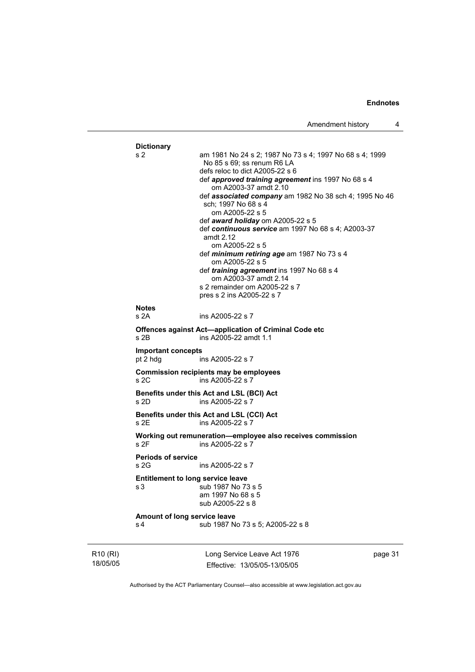```
Dictionary 
s 2 am 1981 No 24 s 2; 1987 No 73 s 4; 1997 No 68 s 4; 1999 
                  No 85 s 69; ss renum R6 LA 
                  defs reloc to dict A2005-22 s 6 
                  def approved training agreement ins 1997 No 68 s 4 
                     om A2003-37 amdt 2.10 
                  def associated company am 1982 No 38 sch 4; 1995 No 46 
                  sch; 1997 No 68 s 4 
                     om A2005-22 s 5 
                  def award holiday om A2005-22 s 5 
                  def continuous service am 1997 No 68 s 4; A2003-37 
                  amdt 2.12 
                     om A2005-22 s 5 
                  def minimum retiring age am 1987 No 73 s 4 
                     om A2005-22 s 5 
                  def training agreement ins 1997 No 68 s 4 
                     om A2003-37 amdt 2.14 
                  s 2 remainder om A2005-22 s 7 
                  pres s 2 ins A2005-22 s 7 
Notes 
s 2A ins A2005-22 s 7 
Offences against Act—application of Criminal Code etc 
s 2B ins A2005-22 amdt 1.1 
Important concepts 
pt 2 hdg ins A2005-22 s 7 
Commission recipients may be employees 
s 2C ins A2005-22 s 7 
Benefits under this Act and LSL (BCI) Act 
s 2D ins A2005-22 s<sup>7</sup>
Benefits under this Act and LSL (CCI) Act 
s 2E ins A2005-22 s 7 
Working out remuneration—employee also receives commission 
                 ins A2005-22 s 7
Periods of service 
s 2G ins A2005-22 s 7
Entitlement to long service leave 
s 3 sub 1987 No 73 s 5 
                  am 1997 No 68 s 5 
                  sub A2005-22 s 8 
Amount of long service leave 
s 4 sub 1987 No 73 s 5; A2005-22 s 8
```
R10 (RI) 18/05/05 Long Service Leave Act 1976 Effective: 13/05/05-13/05/05

page 31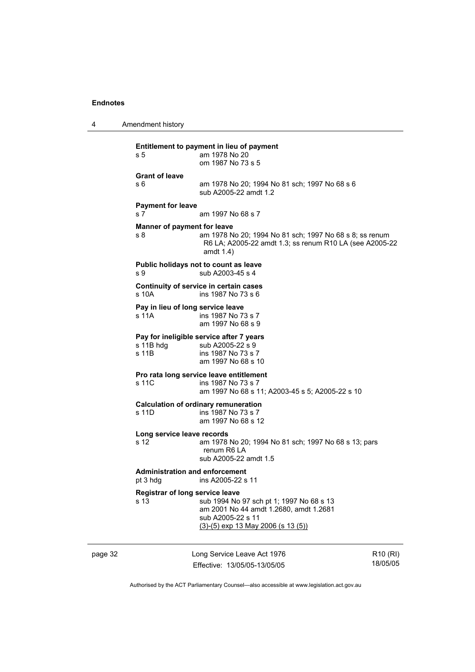4 Amendment history

| s 5                                               | Entitlement to payment in lieu of payment<br>am 1978 No 20<br>om 1987 No 73 s 5                                                                 |
|---------------------------------------------------|-------------------------------------------------------------------------------------------------------------------------------------------------|
| <b>Grant of leave</b><br>s 6                      | am 1978 No 20; 1994 No 81 sch; 1997 No 68 s 6<br>sub A2005-22 amdt 1.2                                                                          |
| <b>Payment for leave</b><br>s <sub>7</sub>        | am 1997 No 68 s 7                                                                                                                               |
| Manner of payment for leave<br>s 8                | am 1978 No 20; 1994 No 81 sch; 1997 No 68 s 8; ss renum<br>R6 LA; A2005-22 amdt 1.3; ss renum R10 LA (see A2005-22<br>amdt 1.4)                 |
| s 9                                               | Public holidays not to count as leave<br>sub A2003-45 s 4                                                                                       |
| $s$ 10 $A$                                        | Continuity of service in certain cases<br>ins 1987 No 73 s 6                                                                                    |
| Pay in lieu of long service leave<br>s 11A        | ins 1987 No 73 s 7<br>am 1997 No 68 s 9                                                                                                         |
| s 11B hdg<br>s 11B                                | Pay for ineligible service after 7 years<br>sub A2005-22 s 9<br>ins 1987 No 73 s 7<br>am 1997 No 68 s 10                                        |
| s 11C                                             | Pro rata long service leave entitlement<br>ins 1987 No 73 s 7<br>am 1997 No 68 s 11; A2003-45 s 5; A2005-22 s 10                                |
| s 11D                                             | <b>Calculation of ordinary remuneration</b><br>ins 1987 No 73 s 7<br>am 1997 No 68 s 12                                                         |
| Long service leave records<br>s <sub>12</sub>     | am 1978 No 20; 1994 No 81 sch; 1997 No 68 s 13; pars<br>renum R6 LA<br>sub A2005-22 amdt 1.5                                                    |
| <b>Administration and enforcement</b><br>pt 3 hdg | ins A2005-22 s 11                                                                                                                               |
| Registrar of long service leave<br>s 13           | sub 1994 No 97 sch pt 1; 1997 No 68 s 13<br>am 2001 No 44 amdt 1.2680, amdt 1.2681<br>sub A2005-22 s 11<br>$(3)-(5)$ exp 13 May 2006 (s 13 (5)) |

page 32 Long Service Leave Act 1976 Effective: 13/05/05-13/05/05

R10 (RI) 18/05/05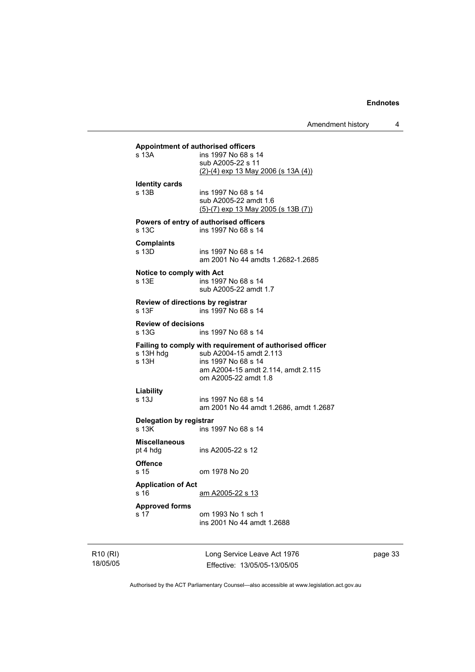Amendment history 4

**Appointment of authorised officers**  ins 1997 No 68 s 14 sub A2005-22 s 11 (2)-(4) exp 13 May 2006 (s 13A (4)) **Identity cards**  s 13B ins 1997 No 68 s 14 sub A2005-22 amdt 1.6 (5)-(7) exp 13 May 2005 (s 13B (7)) **Powers of entry of authorised officers**  s 13C ins 1997 No 68 s 14 **Complaints**  ins 1997 No 68 s 14 am 2001 No 44 amdts 1.2682-1.2685 **Notice to comply with Act**  s 13E ins 1997 No 68 s 14 sub A2005-22 amdt 1.7 **Review of directions by registrar**  s 13F ins 1997 No 68 s 14 **Review of decisions**  s 13G ins 1997 No 68 s 14 **Failing to comply with requirement of authorised officer** s 13H hdg sub A2004-15 amdt 2.113 s 13H hdg sub A2004-15 amdt 2.113<br>s 13H s 1997 No 68 s 14 ins 1997 No 68 s 14 am A2004-15 amdt 2.114, amdt 2.115 om A2005-22 amdt 1.8 **Liability**  ins 1997 No 68 s 14 am 2001 No 44 amdt 1.2686, amdt 1.2687 **Delegation by registrar**  s 13K ins 1997 No 68 s 14 **Miscellaneous**  ins A2005-22 s 12 **Offence**  s 15 om 1978 No 20 **Application of Act**  s 16 am A2005-22 s 13 **Approved forms**  s 17 om 1993 No 1 sch 1 ins 2001 No 44 amdt 1.2688

R10 (RI) 18/05/05 Long Service Leave Act 1976 Effective: 13/05/05-13/05/05 page 33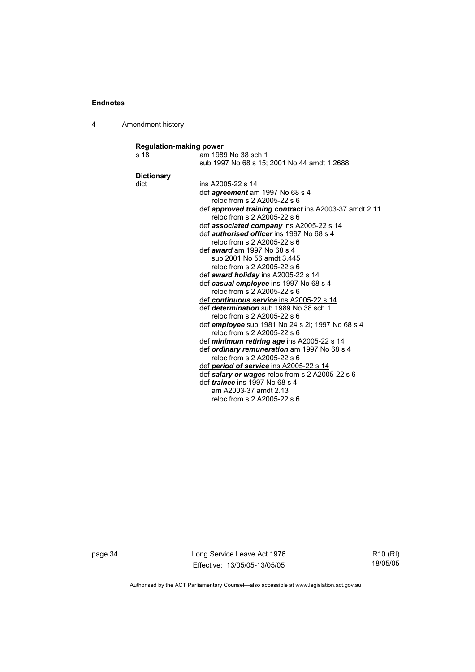4 Amendment history

| <b>Regulation-making power</b> |                                                       |  |
|--------------------------------|-------------------------------------------------------|--|
| s 18                           | am 1989 No 38 sch 1                                   |  |
|                                | sub 1997 No 68 s 15; 2001 No 44 amdt 1.2688           |  |
| <b>Dictionary</b>              |                                                       |  |
| dict                           | ins A2005-22 s 14                                     |  |
|                                | def <i>agreement</i> am 1997 No 68 s 4                |  |
|                                | reloc from s 2 A2005-22 s 6                           |  |
|                                | def approved training contract ins A2003-37 amdt 2.11 |  |
|                                | reloc from s 2 A2005-22 s 6                           |  |
|                                | def <b>associated company</b> ins A2005-22 s 14       |  |
|                                | def <i>authorised officer</i> ins 1997 No 68 s 4      |  |
|                                | reloc from s 2 A2005-22 s 6                           |  |
|                                | def <i>award</i> am 1997 No 68 s 4                    |  |
|                                | sub 2001 No 56 amdt 3.445                             |  |
|                                | reloc from s 2 A2005-22 s 6                           |  |
|                                | def <b>award holiday</b> ins A2005-22 s 14            |  |
|                                | def casual employee ins 1997 No 68 s 4                |  |
|                                | reloc from s 2 A2005-22 s 6                           |  |
|                                | def continuous service ins A2005-22 s 14              |  |
|                                | def <i>determination</i> sub 1989 No 38 sch 1         |  |
|                                | reloc from s 2 A2005-22 s 6                           |  |
|                                | def employee sub 1981 No 24 s 2l; 1997 No 68 s 4      |  |
|                                | reloc from s 2 A2005-22 s 6                           |  |
|                                | def <i>minimum retiring age</i> ins A2005-22 s 14     |  |
|                                | def ordinary remuneration am 1997 No 68 s 4           |  |
|                                | reloc from s 2 A2005-22 s 6                           |  |
|                                | def period of service ins A2005-22 s 14               |  |
|                                | def salary or wages reloc from s 2 A2005-22 s 6       |  |
|                                | def <i>trainee</i> ins 1997 No 68 s 4                 |  |
|                                | am A2003-37 amdt 2.13                                 |  |
|                                | reloc from s 2 A2005-22 s 6                           |  |
|                                |                                                       |  |

page 34 Long Service Leave Act 1976 Effective: 13/05/05-13/05/05

R10 (RI) 18/05/05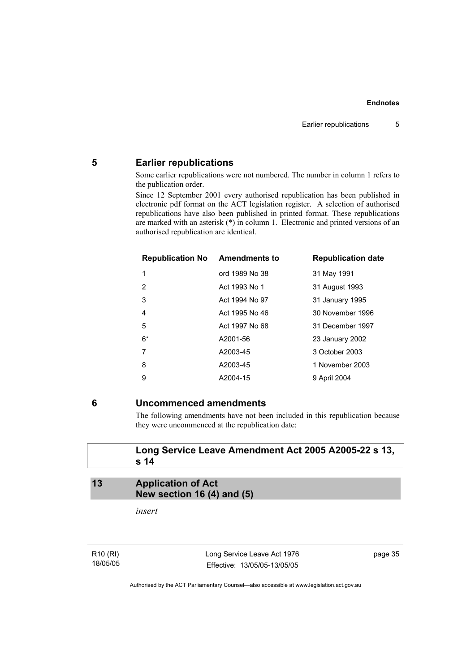## **5 Earlier republications**

Some earlier republications were not numbered. The number in column 1 refers to the publication order.

Since 12 September 2001 every authorised republication has been published in electronic pdf format on the ACT legislation register. A selection of authorised republications have also been published in printed format. These republications are marked with an asterisk (\*) in column 1. Electronic and printed versions of an authorised republication are identical.

| <b>Republication No Amendments to</b> |                | <b>Republication date</b> |
|---------------------------------------|----------------|---------------------------|
| 1                                     | ord 1989 No 38 | 31 May 1991               |
| 2                                     | Act 1993 No 1  | 31 August 1993            |
| 3                                     | Act 1994 No 97 | 31 January 1995           |
| 4                                     | Act 1995 No 46 | 30 November 1996          |
| 5                                     | Act 1997 No 68 | 31 December 1997          |
| $6*$                                  | A2001-56       | 23 January 2002           |
| 7                                     | A2003-45       | 3 October 2003            |
| 8                                     | A2003-45       | 1 November 2003           |
| 9                                     | A2004-15       | 9 April 2004              |

## **6 Uncommenced amendments**

The following amendments have not been included in this republication because they were uncommenced at the republication date:

## **Long Service Leave Amendment Act 2005 A2005-22 s 13, s 14**

## **13 Application of Act New section 16 (4) and (5)**

*insert* 

R10 (RI) 18/05/05 Long Service Leave Act 1976 Effective: 13/05/05-13/05/05 page 35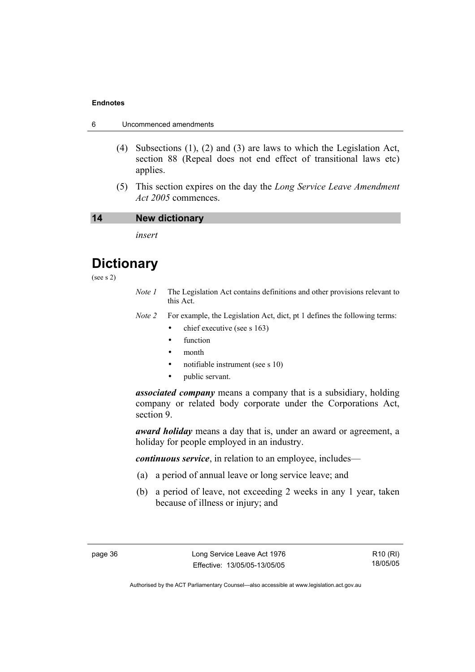|  | Uncommenced amendments |
|--|------------------------|
|--|------------------------|

- (4) Subsections (1), (2) and (3) are laws to which the Legislation Act, section 88 (Repeal does not end effect of transitional laws etc) applies.
- (5) This section expires on the day the *Long Service Leave Amendment Act 2005* commences.

#### **14 New dictionary**

*insert* 

# **Dictionary**

- (see s 2)
- *Note 1* The Legislation Act contains definitions and other provisions relevant to this Act.
- *Note 2* For example, the Legislation Act, dict, pt 1 defines the following terms:
	- chief executive (see s 163)
	- **function**
	- month
	- notifiable instrument (see s 10)
	- public servant.

*associated company* means a company that is a subsidiary, holding company or related body corporate under the Corporations Act, section 9.

*award holiday* means a day that is, under an award or agreement, a holiday for people employed in an industry.

*continuous service*, in relation to an employee, includes—

- (a) a period of annual leave or long service leave; and
- (b) a period of leave, not exceeding 2 weeks in any 1 year, taken because of illness or injury; and